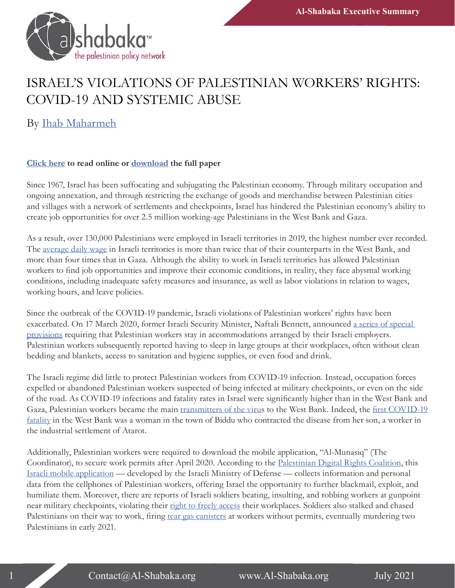

## ISRAEL'S VIOLATIONS OF PALESTINIAN WORKERS' RIGHTS: COVID-19 AND SYSTEMIC ABUSE

By [Ihab Maharmeh](https://al-shabaka.org/en/author/ihab-maharmeh/)

## **[Click here](http://ow.ly/YTeN50FuR92) to read online or [download](https://al-shabaka.org/wp-content/uploads/2021/07/Maharmeh_PolicyBrief_Eng_July2021.pdf) the full paper**

Since 1967, Israel has been suffocating and subjugating the Palestinian economy. Through military occupation and ongoing annexation, and through restricting the exchange of goods and merchandise between Palestinian cities and villages with a network of settlements and checkpoints, Israel has hindered the Palestinian economy's ability to create job opportunities for over 2.5 million working-age Palestinians in the West Bank and Gaza.

As a result, over 130,000 Palestinians were employed in Israeli territories in 2019, the highest number ever recorded. The [average daily wage](http://www.pcbs.gov.ps/Downloads/book2515.pdf) in Israeli territories is more than twice that of their counterparts in the West Bank, and more than four times that in Gaza. Although the ability to work in Israeli territories has allowed Palestinian workers to find job opportunities and improve their economic conditions, in reality, they face abysmal working conditions, including inadequate safety measures and insurance, as well as labor violations in relation to wages, working hours, and leave policies.

Since the outbreak of the COVID-19 pandemic, Israeli violations of Palestinian workers' rights have been exacerbated. On 17 March 2020, former Israeli Security Minister, Naftali Bennett, announced [a series of special](https://www.al-monitor.com/originals/2020/03/palestinian-workers-west-bank-permits-commute-corona-virus.html)  [provisions](https://www.al-monitor.com/originals/2020/03/palestinian-workers-west-bank-permits-commute-corona-virus.html) requiring that Palestinian workers stay in accommodations arranged by their Israeli employers. Palestinian workers subsequently reported having to sleep in large groups at their workplaces, often without clean bedding and blankets, access to sanitation and hygiene supplies, or even food and drink.

The Israeli regime did little to protect Palestinian workers from COVID-19 infection. Instead, occupation forces expelled or abandoned Palestinian workers suspected of being infected at military checkpoints, or even on the side of the road. As COVID-19 infections and fatality rates in Israel were significantly higher than in the West Bank and Gaza, Palestinian workers became the main [transmitters of the virus](https://arabic.rt.com/middle_east/1099655-%D9%81%D9%84%D8%B3%D8%B7%D9%8A%D9%86-%D8%A7%D9%83%D8%AA%D8%B4%D8%A7%D9%81-15-%D8%A5%D8%B5%D8%A7%D8%A8%D8%A9-%D8%A8%D9%83%D9%88%D8%B1%D9%88%D9%86%D8%A7-%D9%84%D8%AF%D9%89-%D8%B9%D9%85%D8%A7%D9%84-%D8%B9%D8%A7%D8%AF%D9%88%D8%A7-%D9%85%D9%86-%D8%A5%D8%B3%D8%B1%D8%A7%D8%A6%D9%8A%D9%84/) to the West Bank. Indeed, the [first COVID-19](https://www.al-ayyam.ps/ar_page.php?id=13bbb920y331069728Y13bbb920)  [fatality](https://www.al-ayyam.ps/ar_page.php?id=13bbb920y331069728Y13bbb920) in the West Bank was a woman in the town of Biddu who contracted the disease from her son, a worker in the industrial settlement of Atarot.

Additionally, Palestinian workers were required to download the mobile application, "Al-Munasiq" (The Coordinator), to secure work permits after April 2020. According to the [Palestinian Digital Rights Coalition,](https://www.apc.org/en/news/7amleh-palestinian-digital-rights-coalition-warns-against-phone-application-coordinator) this [Israeli mobile application](https://www.gov.il/ar/departments/news/digitalrequest) — developed by the Israeli Ministry of Defense — collects information and personal data from the cellphones of Palestinian workers, offering Israel the opportunity to further blackmail, exploit, and humiliate them. Moreover, there are reports of Israeli soldiers beating, insulting, and robbing workers at gunpoint near military checkpoints, violating their [right to freely access](http://www.macro.org.il/images/upload/items/69855965024711.pdf) their workplaces. Soldiers also stalked and chased Palestinians on their way to work, firing [tear gas canisters](https://www.facebook.com/watch/?v=162500795676467) at workers without permits, eventually murdering two Palestinians in early 2021.